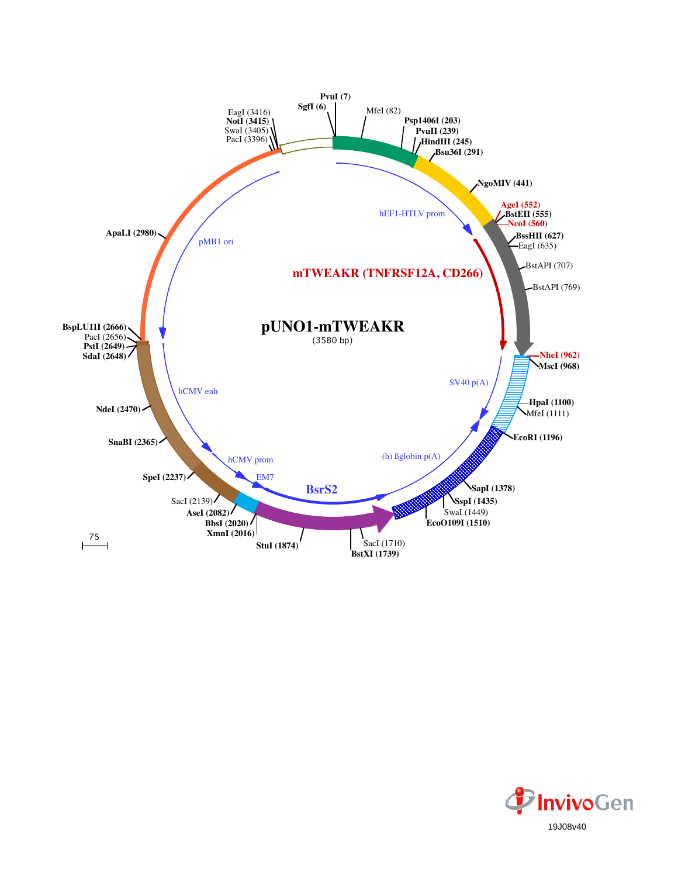

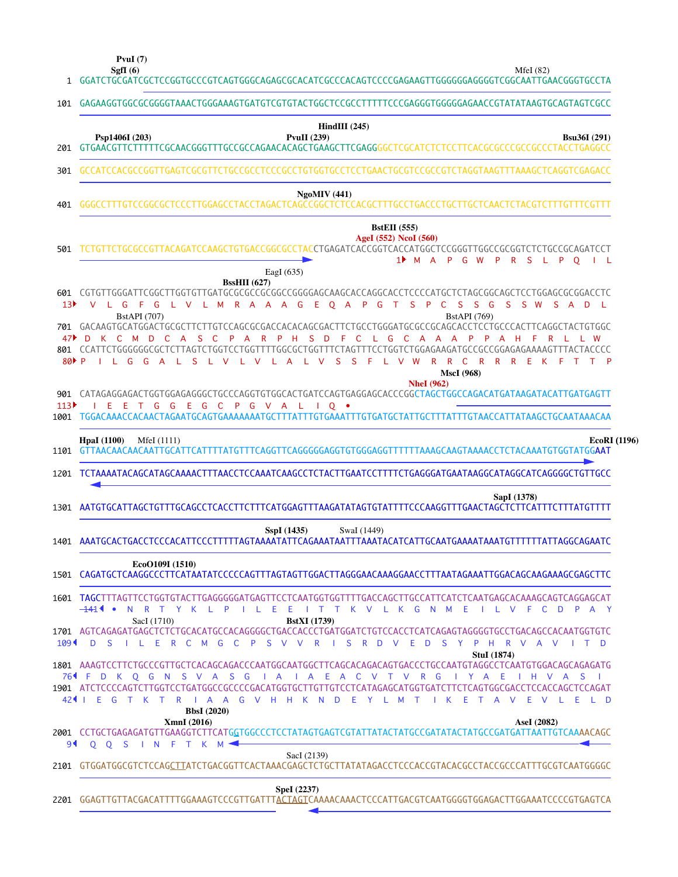**SgfI (6) PvuI (7)**

GGATCTGCGATCGCTCCGGTGCCCGTCAGTGGGCAGAGCGCACATCGCCCACAGTCCCCGAGAAGTTGGGGGGAGGGGTCGGCAATTGAACGGGTGCCTA MfeI (82)

| 101                           |                                                                                                                                                                                                                                                                                                                                                                                                                                                                                                                                                                                                                                                                                                                                                                                                                             |
|-------------------------------|-----------------------------------------------------------------------------------------------------------------------------------------------------------------------------------------------------------------------------------------------------------------------------------------------------------------------------------------------------------------------------------------------------------------------------------------------------------------------------------------------------------------------------------------------------------------------------------------------------------------------------------------------------------------------------------------------------------------------------------------------------------------------------------------------------------------------------|
|                               | GAGAAGGTGGCGCGGGGTAAACTGGGAAAGTGATGTCGTGTACTGGCTCCGCCTTTTTCCCGAGGGTGGGGGAGAACCGTATATAAGTGCAGTAGTCGCC                                                                                                                                                                                                                                                                                                                                                                                                                                                                                                                                                                                                                                                                                                                        |
| 201                           | $HindIII$ (245)<br><b>PvuII</b> (239)<br>Psp1406I (203)<br><b>Bsu36I</b> (291)                                                                                                                                                                                                                                                                                                                                                                                                                                                                                                                                                                                                                                                                                                                                              |
| 301                           | GCCATCCACGCCGGTTGAGTCGCGTTCTGCCGCCTCCCGCCTGTGGTGCCTCCTGAACTGCGTCCGCCGTCTAGGTAAGTTTAAAGCTCAGGTCGAGACC                                                                                                                                                                                                                                                                                                                                                                                                                                                                                                                                                                                                                                                                                                                        |
| 401                           | <b>NgoMIV</b> (441)                                                                                                                                                                                                                                                                                                                                                                                                                                                                                                                                                                                                                                                                                                                                                                                                         |
| 501                           | <b>BstEII</b> (555)<br>AgeI (552) NcoI (560)<br>TCTGTTCTGCGCCGTTACAGATCCAAGCTGTGACCGGCGCCTACCTGAGATCACCGGTCACCATGGCTCCGGGTTGGCCGCGGTCTCTGCCGCAGATCCT<br>1 <sup>M</sup> A P G W P R S L P O I L                                                                                                                                                                                                                                                                                                                                                                                                                                                                                                                                                                                                                              |
| 13 <sup>b</sup><br>80P P      | EagI $(635)$<br><b>BssHII</b> (627)<br>R A A<br>A<br>G<br>Æ<br>$O$ A<br>$\mathsf{P}$<br>G<br>T<br><sub>S</sub><br>$\mathsf{P}$<br>- C<br><b>S</b><br>- S<br>G<br>SSW SAD L<br>G<br>G<br>L V L M<br><b>BstAPI</b> (769)<br><b>BstAPI</b> (707)<br>701 GACAAGTGCATGGACTGCGCTTCTTGTCCAGCGCGACCACACAGCGACTTCTGCCTGGGATGCGCCGCAGCACCTCCTGCCCACTTCAGGCTACTGTGGC<br>C M D<br>- C<br>P<br>P.<br><b>A</b><br>- S<br><b>A</b><br>R<br>- D<br>$\overline{C}$<br>$C$ $A$ $A$<br>A<br>A H<br>-C<br>$\mathsf{P}$<br>P<br>- н<br>S.<br>-F.<br>$L$ G<br>801 CCATTCTGGGGGGCGCTCTTAGTCTGGTCCTGGTTTTGGCGCTGGTTTCTAGTTTCCTGGTCTGGAGAAGATGCCGCCGGAGAAAAAGTTTACTACCCC<br>S L V L V L A L V<br>S.<br>$S$ F<br>L V W<br>$\mathsf{R}$<br>R<br>$\mathbf{C}$<br>R R R E K F<br>T T P<br>$\Box$ $\Box$ $\Box$ $\Box$ $\Box$ $\Box$<br><b>MscI</b> (968) |
| 113                           | <b>NheI</b> (962)<br>901 CATAGAGGAGACTGGTGGAGAGGGCTGCCCAGGTGTGGCACTGATCCAGTGAGGAGCACCCCGGCTAGCTGGCCAGACATGATAAGATACATTGATGAGTT<br>I E E T G G E G C P G V A L I O .<br>1001 TGGACAAACCACAACTAGAATGCAGTGAAAAAAATGCTTTATTTGTGAAATTTGTGATGCTATTGCTTTATTTGTAACCATTATAAGCTGCAATAAACAA                                                                                                                                                                                                                                                                                                                                                                                                                                                                                                                                            |
| 1101                          | <b>EcoRI</b> (1196)<br><b>HpaI</b> (1100)<br>MfeI (1111)<br>GTTAACAACAACAATTGCATTCATTTTATGTTTCAGGTTCAGGGGGAGGTGTGGGAGGTTTTTTAAAGCAAGTAAAACCTCTACAAATGTGGTATGGAAT                                                                                                                                                                                                                                                                                                                                                                                                                                                                                                                                                                                                                                                            |
| 1201                          |                                                                                                                                                                                                                                                                                                                                                                                                                                                                                                                                                                                                                                                                                                                                                                                                                             |
|                               | TCTAAAATACAGCATAGCAAAACTTTAACCTCCAAATCAAGCCTCTACTTGAATCCTTTTCTGAGGGATGAATAAGGCATAGGCATCAGGGGCTGTTGCC                                                                                                                                                                                                                                                                                                                                                                                                                                                                                                                                                                                                                                                                                                                        |
|                               | SapI (1378)<br>AATGTGCATTAGCTGTTTGCAGCCTCACCTTCTTTCATGGAGTTTAAGATATAGTGTATTTTCCCAAGGTTTGAACTAGCTCTTCATTTCTTTATGTTT                                                                                                                                                                                                                                                                                                                                                                                                                                                                                                                                                                                                                                                                                                          |
|                               | SspI (1435)<br>SwaI (1449)<br>AAATGCACTGACCTCCCACATTCCCTTTTTAATAATATTCAGAAATAATTTAAATACATCATTGCAATGAAATAATGTTTTTTATTAGGCAGAATC                                                                                                                                                                                                                                                                                                                                                                                                                                                                                                                                                                                                                                                                                              |
|                               | EcoO109I (1510)<br>1501 CAGATGCTCAAGGCCCTTCATAATATCCCCCAGTTTAGTAGTTGGACTTAGGGAACAAAGGAACCTTTAATAGAAATTGGACAGCAAGAAAGCGAGCTTC                                                                                                                                                                                                                                                                                                                                                                                                                                                                                                                                                                                                                                                                                                |
|                               | 1601 TAGCTTTAGTTCCTGGTGTACTTGAGGGGGATGAGTTCCTCAATGGTGGTTTTGACCAGCTTGCCATTCATCTCAATGAGCACAAAGCAGTCAGGAGCAT<br>—1414 •<br>N R T Y K L P<br>$\Box$ $\Box$ $\Box$<br>E.<br>I T T K V L K G N M<br>- E<br>ILVF<br>- C<br>- D<br>SacI (1710)<br><b>BstXI</b> (1739)                                                                                                                                                                                                                                                                                                                                                                                                                                                                                                                                                               |
|                               | 1701 AGTCAGAGATGAGCTCTCTGCACATGCCACAGGGGCTGACCACCCTGATGGATCTGTCCACCTCATCAGAGTAGGGGTGCCTGACAGCCACAATGGTGTC<br>R<br>ILERC<br>G<br>$\mathsf{P}$<br>-S<br>V V<br><sub>S</sub><br>R<br><b>D</b><br>- E<br>DSY<br>D S<br><b>M</b><br>- C<br>- 1<br>$\vee$<br>P<br>- H<br>R V A V<br>$\blacksquare$<br><b>StuI</b> (1874)                                                                                                                                                                                                                                                                                                                                                                                                                                                                                                          |
| 764 F                         | S V A S G<br>E A C V T V R G<br>D K Q G N<br>$\overline{A}$<br>$\overline{A}$<br>Y A<br>E.<br>H V A S<br>- 11<br>1901 ATCTCCCCAGTCTTGGTCCTGATGGCCGCCCCGACATGGTGCTTGTTGTCCTCATAGAGCATGGTGATCTTCTCAGTGGCGACCTCCACCAGCTCCAGAT<br>424 I E G T K T R I A A G V H H K N D E Y L M T<br>I K E T A V E<br>$\vee$<br>-L E<br>L D<br><b>BbsI</b> (2020)<br>XmnI (2016)<br>AseI (2082)                                                                                                                                                                                                                                                                                                                                                                                                                                                 |
| 1301<br>1401<br>$109 -$<br>9◀ | P A Y<br>2001 CCTGCTGAGAGATGTTGAAGGTCTTCATGGTGGCCCTCCTATAGTGAGTCGTATTATACTATGCCGATATACTATGCCGATGATTAATTGTCAAAACAGC<br>$00$ S<br>IN FT K M<br>SacI (2139)<br>2101 GTGGATGGCGTCTCCAGCIIATCTGACGGTTCACTAAACGAGCTCTGCTTATATAGACCTCCCACCGTACACGCCTACCGCCCATTTGCGTCAATGGGGC                                                                                                                                                                                                                                                                                                                                                                                                                                                                                                                                                       |